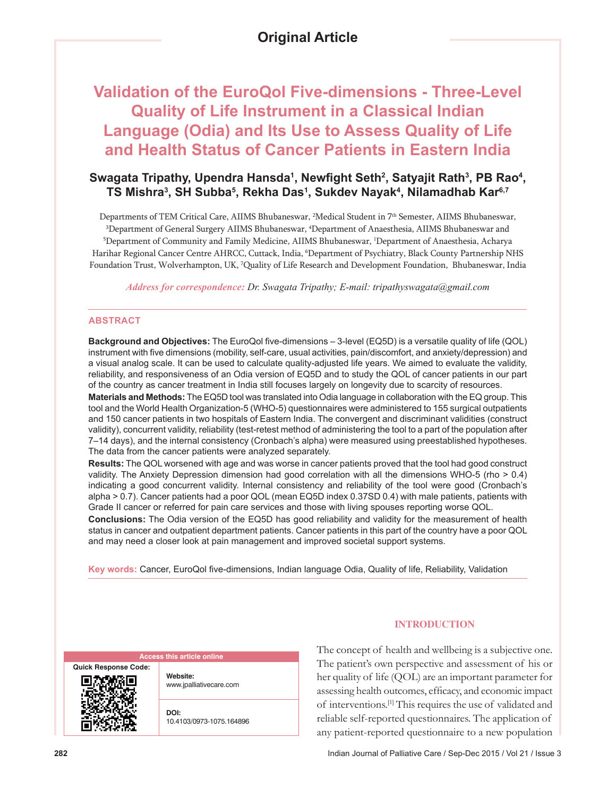# **Original Article**

# **Validation of the EuroQol Five-dimensions - Three-Level Quality of Life Instrument in a Classical Indian Language (Odia) and Its Use to Assess Quality of Life and Health Status of Cancer Patients in Eastern India**

# Swagata Tripathy, Upendra Hansda<sup>ı</sup>, Newfight Seth<sup>2</sup>, Satyajit Rath<sup>3</sup>, PB Rao<sup>4</sup>, **TS Mishra3 , SH Subba5 , Rekha Das1 , Sukdev Nayak4 , Nilamadhab Kar6,7**

Departments of TEM Critical Care, AIIMS Bhubaneswar, <sup>2</sup>Medical Student in 7<sup>th</sup> Semester, AIIMS Bhubaneswar, 3 Department of General Surgery AIIMS Bhubaneswar, 4 Department of Anaesthesia, AIIMS Bhubaneswar and 5 Department of Community and Family Medicine, AIIMS Bhubaneswar, 1 Department of Anaesthesia, Acharya Harihar Regional Cancer Centre AHRCC, Cuttack, India, 6 Department of Psychiatry, Black County Partnership NHS Foundation Trust, Wolverhampton, UK, 7 Quality of Life Research and Development Foundation, Bhubaneswar, India

*Address for correspondence: Dr. Swagata Tripathy; E-mail: tripathyswagata@gmail.com*

#### **ABSTRACT**

**Background and Objectives:** The EuroQol five‑dimensions – 3‑level (EQ5D) is a versatile quality of life (QOL) instrument with five dimensions (mobility, self-care, usual activities, pain/discomfort, and anxiety/depression) and a visual analog scale. It can be used to calculate quality-adjusted life years. We aimed to evaluate the validity, reliability, and responsiveness of an Odia version of EQ5D and to study the QOL of cancer patients in our part of the country as cancer treatment in India still focuses largely on longevity due to scarcity of resources.

**Materials and Methods:** The EQ5D tool was translated into Odia language in collaboration with the EQ group. This tool and the World Health Organization-5 (WHO-5) questionnaires were administered to 155 surgical outpatients and 150 cancer patients in two hospitals of Eastern India. The convergent and discriminant validities (construct validity), concurrent validity, reliability (test-retest method of administering the tool to a part of the population after 7–14 days), and the internal consistency (Cronbach's alpha) were measured using preestablished hypotheses. The data from the cancer patients were analyzed separately.

**Results:** The QOL worsened with age and was worse in cancer patients proved that the tool had good construct validity. The Anxiety Depression dimension had good correlation with all the dimensions WHO-5 (rho > 0.4) indicating a good concurrent validity. Internal consistency and reliability of the tool were good (Cronbach's alpha > 0.7). Cancer patients had a poor QOL (mean EQ5D index 0.37SD 0.4) with male patients, patients with Grade II cancer or referred for pain care services and those with living spouses reporting worse QOL.

**Conclusions:** The Odia version of the EQ5D has good reliability and validity for the measurement of health status in cancer and outpatient department patients. Cancer patients in this part of the country have a poor QOL and may need a closer look at pain management and improved societal support systems.

Key words: Cancer, EuroQol five-dimensions, Indian language Odia, Quality of life, Reliability, Validation

| <b>Access this article online</b> |                                     |  |  |  |
|-----------------------------------|-------------------------------------|--|--|--|
| <b>Quick Response Code:</b>       | Website:<br>www.jpalliativecare.com |  |  |  |
|                                   | DOI:<br>10.4103/0973-1075.164896    |  |  |  |

## **INTRODUCTION**

The concept of health and wellbeing is a subjective one. The patient's own perspective and assessment of his or her quality of life (QOL) are an important parameter for assessing health outcomes, efficacy, and economic impact of interventions.[1] This requires the use of validated and reliable self‑reported questionnaires. The application of any patient‑reported questionnaire to a new population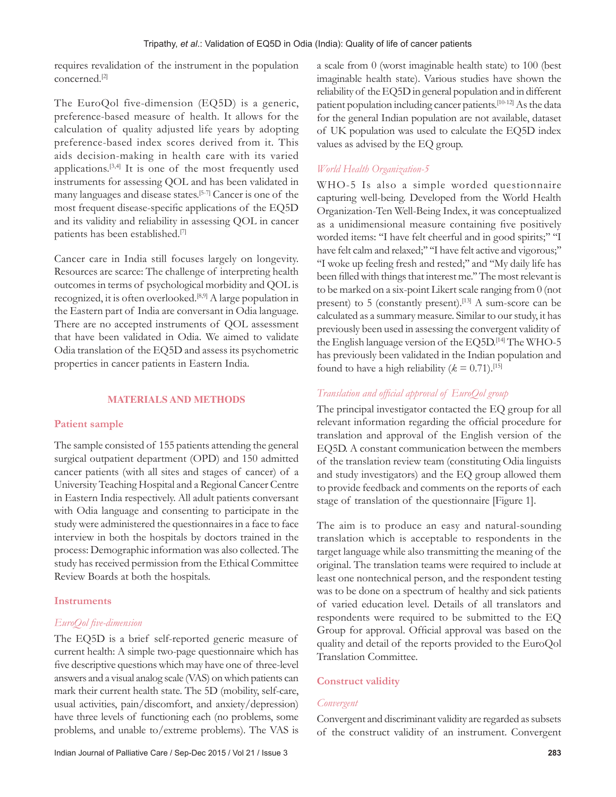requires revalidation of the instrument in the population concerned.[2]

The EuroQol five-dimension  $(EQ5D)$  is a generic, preference-based measure of health. It allows for the calculation of quality adjusted life years by adopting preference-based index scores derived from it. This aids decision‑making in health care with its varied applications.<sup>[3,4]</sup> It is one of the most frequently used instruments for assessing QOL and has been validated in many languages and disease states.[5‑7] Cancer is one of the most frequent disease‑specific applications of the EQ5D and its validity and reliability in assessing QOL in cancer patients has been established.[7]

Cancer care in India still focuses largely on longevity. Resources are scarce: The challenge of interpreting health outcomes in terms of psychological morbidity and QOL is recognized, it is often overlooked.[8,9] A large population in the Eastern part of India are conversant in Odia language. There are no accepted instruments of QOL assessment that have been validated in Odia. We aimed to validate Odia translation of the EQ5D and assess its psychometric properties in cancer patients in Eastern India.

#### **MATERIALS AND METHODS**

## **Patient sample**

The sample consisted of 155 patients attending the general surgical outpatient department (OPD) and 150 admitted cancer patients (with all sites and stages of cancer) of a University Teaching Hospital and a Regional Cancer Centre in Eastern India respectively. All adult patients conversant with Odia language and consenting to participate in the study were administered the questionnaires in a face to face interview in both the hospitals by doctors trained in the process: Demographic information was also collected. The study has received permission from the Ethical Committee Review Boards at both the hospitals.

## **Instruments**

## *EuroQol five‑dimension*

The EQ5D is a brief self-reported generic measure of current health: A simple two-page questionnaire which has five descriptive questions which may have one of three-level answers and a visual analog scale (VAS) on which patients can mark their current health state. The 5D (mobility, self-care, usual activities, pain/discomfort, and anxiety/depression) have three levels of functioning each (no problems, some problems, and unable to/extreme problems). The VAS is a scale from 0 (worst imaginable health state) to 100 (best imaginable health state). Various studies have shown the reliability of the EQ5D in general population and in different patient population including cancer patients.<sup>[10-12]</sup> As the data for the general Indian population are not available, dataset of UK population was used to calculate the EQ5D index values as advised by the EQ group.

## *World Health Organization‑5*

WHO-5 Is also a simple worded questionnaire capturing well‑being. Developed from the World Health Organization‑Ten Well‑Being Index, it was conceptualized as a unidimensional measure containing five positively worded items: "I have felt cheerful and in good spirits;" "I have felt calm and relaxed;" "I have felt active and vigorous;" ''I woke up feeling fresh and rested;'' and ''My daily life has been filled with things that interest me.'' The most relevant is to be marked on a six‑point Likert scale ranging from 0 (not present) to 5 (constantly present).<sup>[13]</sup> A sum-score can be calculated as a summary measure. Similar to our study, it has previously been used in assessing the convergent validity of the English language version of the EQ5D.<sup>[14]</sup> The WHO-5 has previously been validated in the Indian population and found to have a high reliability ( $k = 0.71$ ).<sup>[15]</sup>

# *Translation and official approval of EuroQol group*

The principal investigator contacted the EQ group for all relevant information regarding the official procedure for translation and approval of the English version of the EQ5D. A constant communication between the members of the translation review team (constituting Odia linguists and study investigators) and the EQ group allowed them to provide feedback and comments on the reports of each stage of translation of the questionnaire [Figure 1].

The aim is to produce an easy and natural-sounding translation which is acceptable to respondents in the target language while also transmitting the meaning of the original. The translation teams were required to include at least one nontechnical person, and the respondent testing was to be done on a spectrum of healthy and sick patients of varied education level. Details of all translators and respondents were required to be submitted to the EQ Group for approval. Official approval was based on the quality and detail of the reports provided to the EuroQol Translation Committee.

## **Construct validity**

## *Convergent*

Convergent and discriminant validity are regarded as subsets of the construct validity of an instrument. Convergent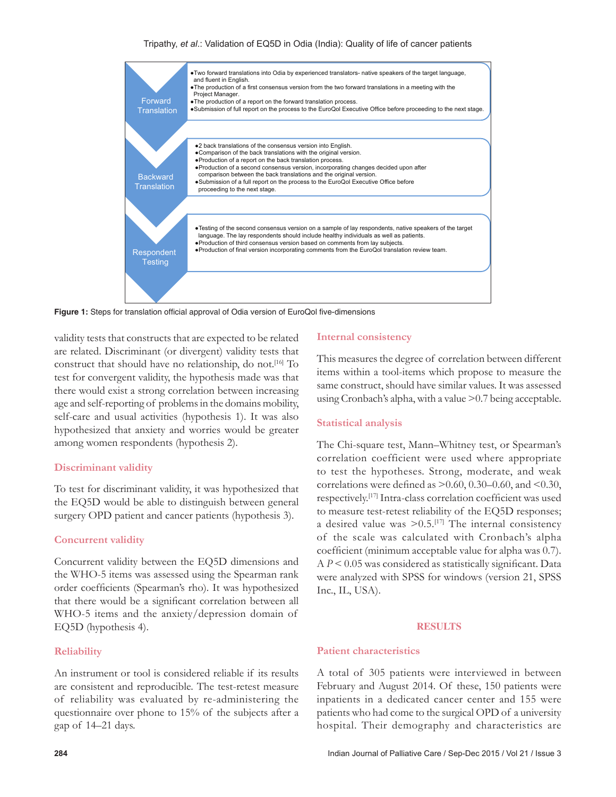#### Tripathy, *et al*.: Validation of EQ5D in Odia (India): Quality of life of cancer patients



**Figure 1:** Steps for translation official approval of Odia version of EuroQol five-dimensions

validity tests that constructs that are expected to be related are related. Discriminant (or divergent) validity tests that construct that should have no relationship, do not.<sup>[16]</sup> To test for convergent validity, the hypothesis made was that there would exist a strong correlation between increasing age and self‑reporting of problems in the domains mobility, self-care and usual activities (hypothesis 1). It was also hypothesized that anxiety and worries would be greater among women respondents (hypothesis 2).

#### **Discriminant validity**

To test for discriminant validity, it was hypothesized that the EQ5D would be able to distinguish between general surgery OPD patient and cancer patients (hypothesis 3).

## **Concurrent validity**

Concurrent validity between the EQ5D dimensions and the WHO‑5 items was assessed using the Spearman rank order coefficients (Spearman's rho). It was hypothesized that there would be a significant correlation between all WHO‑5 items and the anxiety/depression domain of EQ5D (hypothesis 4).

## **Reliability**

An instrument or tool is considered reliable if its results are consistent and reproducible. The test-retest measure of reliability was evaluated by re‑administering the questionnaire over phone to 15% of the subjects after a gap of 14–21 days.

## **Internal consistency**

This measures the degree of correlation between different items within a tool‑items which propose to measure the same construct, should have similar values. It was assessed using Cronbach's alpha, with a value >0.7 being acceptable.

#### **Statistical analysis**

The Chi-square test, Mann–Whitney test, or Spearman's correlation coefficient were used where appropriate to test the hypotheses. Strong, moderate, and weak correlations were defined as  $> 0.60$ , 0.30–0.60, and <0.30, respectively.<sup>[17]</sup> Intra-class correlation coefficient was used to measure test-retest reliability of the EQ5D responses; a desired value was  $> 0.5$ .<sup>[17]</sup> The internal consistency of the scale was calculated with Cronbach's alpha coefficient (minimum acceptable value for alpha was 0.7). A *P* < 0.05 was considered as statistically significant. Data were analyzed with SPSS for windows (version 21, SPSS Inc., IL, USA).

#### **RESULTS**

## **Patient characteristics**

A total of 305 patients were interviewed in between February and August 2014. Of these, 150 patients were inpatients in a dedicated cancer center and 155 were patients who had come to the surgical OPD of a university hospital. Their demography and characteristics are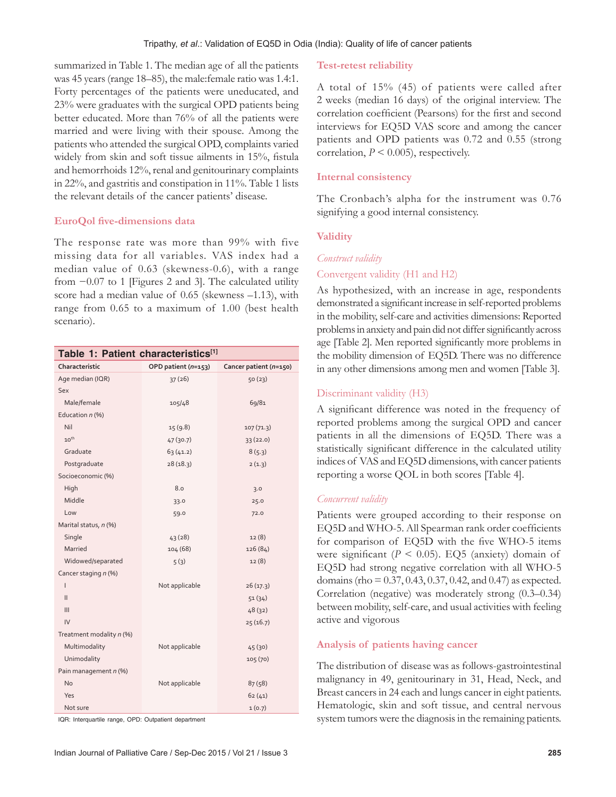summarized in Table 1. The median age of all the patients was 45 years (range 18–85), the male: female ratio was 1.4:1. Forty percentages of the patients were uneducated, and 23% were graduates with the surgical OPD patients being better educated. More than 76% of all the patients were married and were living with their spouse. Among the patients who attended the surgical OPD, complaints varied widely from skin and soft tissue ailments in 15%, fistula and hemorrhoids 12%, renal and genitourinary complaints in 22%, and gastritis and constipation in 11%. Table 1 lists the relevant details of the cancer patients' disease.

#### **EuroQol five‑dimensions data**

The response rate was more than 99% with five missing data for all variables. VAS index had a median value of 0.63 (skewness‑0.6), with a range from −0.07 to 1 [Figures 2 and 3]. The calculated utility score had a median value of 0.65 (skewness –1.13), with range from 0.65 to a maximum of 1.00 (best health scenario).

| Table 1: Patient characteristics[1] |                     |                        |  |  |  |
|-------------------------------------|---------------------|------------------------|--|--|--|
| Characteristic                      | OPD patient (n=153) | Cancer patient (n=150) |  |  |  |
| Age median (IQR)                    | 37(26)              | 50(23)                 |  |  |  |
| Sex                                 |                     |                        |  |  |  |
| Male/female                         | 105/48              | 69/81                  |  |  |  |
| Education n (%)                     |                     |                        |  |  |  |
| Nil                                 | 15(9.8)             | 107(71.3)              |  |  |  |
| $10^{th}$                           | 47(30.7)            | 33(22.0)               |  |  |  |
| Graduate                            | 63(41.2)            | 8(5.3)                 |  |  |  |
| Postgraduate                        | 28(18.3)            | 2(1.3)                 |  |  |  |
| Socioeconomic (%)                   |                     |                        |  |  |  |
| High                                | 8.0                 | 3.0                    |  |  |  |
| Middle                              | 33.0                | 25.0                   |  |  |  |
| Low                                 | 59.0                | 72.0                   |  |  |  |
| Marital status, n (%)               |                     |                        |  |  |  |
| Single                              | 43(28)              | 12(8)                  |  |  |  |
| Married                             | 104 (68)            | 126 (84)               |  |  |  |
| Widowed/separated                   | 5(3)                | 12(8)                  |  |  |  |
| Cancer staging n (%)                |                     |                        |  |  |  |
| $\overline{1}$                      | Not applicable      | 26(17.3)               |  |  |  |
| $\mathbf{II}$                       |                     | 51(34)                 |  |  |  |
| III                                 |                     | 48(32)                 |  |  |  |
| IV                                  |                     | 25(16.7)               |  |  |  |
| Treatment modality n (%)            |                     |                        |  |  |  |
| Multimodality                       | Not applicable      | 45(30)                 |  |  |  |
| Unimodality                         |                     | 105 (70)               |  |  |  |
| Pain management n (%)               |                     |                        |  |  |  |
| <b>No</b>                           | Not applicable      | 87(58)                 |  |  |  |
| Yes                                 |                     | 62(41)                 |  |  |  |
| Not sure                            |                     | 1(0.7)                 |  |  |  |

IQR: Interquartile range, OPD: Outpatient department

#### **Test‑retest reliability**

A total of 15% (45) of patients were called after 2 weeks (median 16 days) of the original interview. The correlation coefficient (Pearsons) for the first and second interviews for EQ5D VAS score and among the cancer patients and OPD patients was 0.72 and 0.55 (strong correlation, *P* < 0.005), respectively.

#### **Internal consistency**

The Cronbach's alpha for the instrument was 0.76 signifying a good internal consistency.

#### **Validity**

#### *Construct validity*

## Convergent validity (H1 and H2)

As hypothesized, with an increase in age, respondents demonstrated a significant increase in self-reported problems in the mobility, self-care and activities dimensions: Reported problems in anxiety and pain did not differ significantly across age [Table 2]. Men reported significantly more problems in the mobility dimension of EQ5D. There was no difference in any other dimensions among men and women [Table 3].

### Discriminant validity (H3)

A significant difference was noted in the frequency of reported problems among the surgical OPD and cancer patients in all the dimensions of EQ5D. There was a statistically significant difference in the calculated utility indices of VAS and EQ5D dimensions, with cancer patients reporting a worse QOL in both scores [Table 4].

#### *Concurrent validity*

Patients were grouped according to their response on EQ5D and WHO‑5. All Spearman rank order coefficients for comparison of EQ5D with the five WHO-5 items were significant  $(P < 0.05)$ . EQ5 (anxiety) domain of EQ5D had strong negative correlation with all WHO-5 domains(rho = 0.37, 0.43, 0.37, 0.42, and 0.47) as expected. Correlation (negative) was moderately strong (0.3–0.34) between mobility, self-care, and usual activities with feeling active and vigorous

#### **Analysis of patients having cancer**

The distribution of disease was as follows‑gastrointestinal malignancy in 49, genitourinary in 31, Head, Neck, and Breast cancers in 24 each and lungs cancer in eight patients. Hematologic, skin and soft tissue, and central nervous system tumors were the diagnosis in the remaining patients.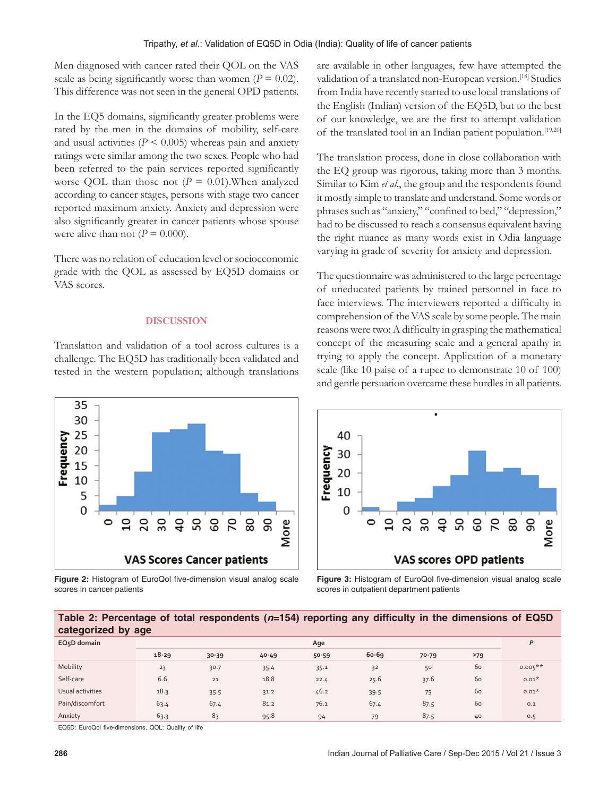Men diagnosed with cancer rated their QOL on the VAS scale as being significantly worse than women  $(P = 0.02)$ . This difference was not seen in the general OPD patients.

In the EQ5 domains, significantly greater problems were rated by the men in the domains of mobility, self-care and usual activities  $(P < 0.005)$  whereas pain and anxiety ratings were similar among the two sexes. People who had been referred to the pain services reported significantly worse QOL than those not (*P* = 0.01).When analyzed according to cancer stages, persons with stage two cancer reported maximum anxiety. Anxiety and depression were also significantly greater in cancer patients whose spouse were alive than not  $(P = 0.000)$ .

There was no relation of education level or socioeconomic grade with the QOL as assessed by EQ5D domains or VAS scores.

#### **DISCUSSION**

Translation and validation of a tool across cultures is a challenge. The EQ5D has traditionally been validated and tested in the western population; although translations are available in other languages, few have attempted the validation of a translated non-European version.<sup>[18]</sup> Studies from India have recently started to use local translations of the English (Indian) version of the EQ5D, but to the best of our knowledge, we are the first to attempt validation of the translated tool in an Indian patient population.[19,20]

The translation process, done in close collaboration with the EQ group was rigorous, taking more than 3 months. Similar to Kim *et al*., the group and the respondents found it mostly simple to translate and understand. Some words or phrases such as "anxiety," "confined to bed," "depression," had to be discussed to reach a consensus equivalent having the right nuance as many words exist in Odia language varying in grade of severity for anxiety and depression.

The questionnaire was administered to the large percentage of uneducated patients by trained personnel in face to face interviews. The interviewers reported a difficulty in comprehension of the VAS scale by some people. The main reasons were two: A difficulty in grasping the mathematical concept of the measuring scale and a general apathy in trying to apply the concept. Application of a monetary scale (like 10 paise of a rupee to demonstrate 10 of 100) and gentle persuation overcame these hurdles in all patients.



**Figure 2:** Histogram of EuroQol five-dimension visual analog scale scores in cancer patients



**Figure 3:** Histogram of EuroQol five-dimension visual analog scale scores in outpatient department patients

### **Table 2: Percentage of total respondents (***n***=154) reporting any difficulty in the dimensions of EQ5D categorized by age**

| -<br>$\sim$              | -         |       |           |           |         |           |     |            |
|--------------------------|-----------|-------|-----------|-----------|---------|-----------|-----|------------|
| EQ <sub>5</sub> D domain | Age       |       |           |           |         |           | P   |            |
|                          | $18 - 29$ | 30-39 | $40 - 49$ | $50 - 59$ | $60-69$ | $70 - 79$ | >79 |            |
| Mobility                 | 23        | 30.7  | 35.4      | 35.1      | 32      | 50        | 60  | $0.005***$ |
| Self-care                | 6.6       | 21    | 18.8      | 22.4      | 25.6    | 37.6      | 60  | $0.01*$    |
| Usual activities         | 18.3      | 35.5  | 31.2      | 46.2      | 39.5    | 75        | 60  | $0.01*$    |
| Pain/discomfort          | 63.4      | 67.4  | 81.2      | 76.1      | 67.4    | 87.5      | 60  | 0.1        |
| Anxiety                  | 63.3      | 83    | 95.8      | 94        | 79      | 87.5      | 40  | 0.5        |

EQ5D: EuroQol five-dimensions, QOL: Quality of life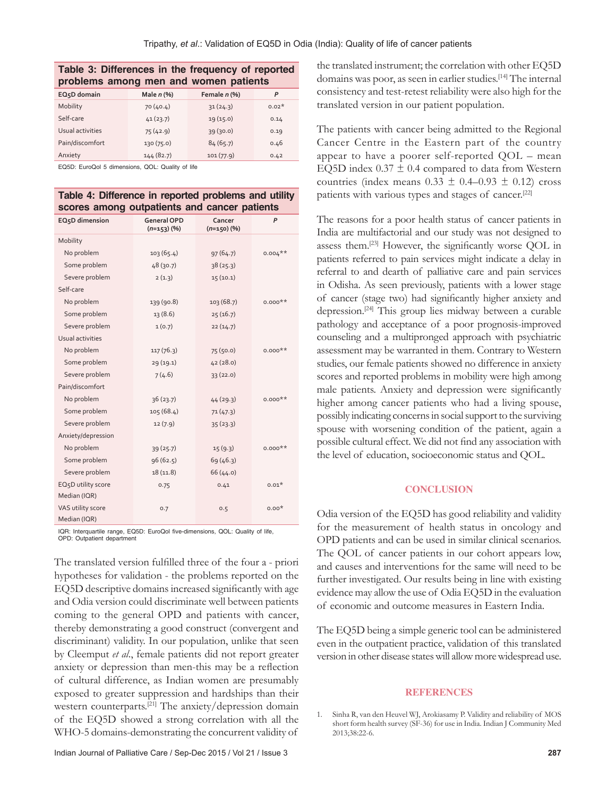| Table 3: Differences in the frequency of reported<br>problems among men and women patients |              |              |         |  |  |
|--------------------------------------------------------------------------------------------|--------------|--------------|---------|--|--|
| EQ <sub>5</sub> D domain                                                                   | Male $n$ (%) | Female n (%) | P       |  |  |
| Mobility                                                                                   | 70(40.4)     | 31(24.3)     | $0.02*$ |  |  |
| Self-care                                                                                  | 41(23.7)     | 19(15.0)     | 0.14    |  |  |
| Usual activities                                                                           | 75(42.9)     | 39(30.0)     | 0.19    |  |  |
| Pain/discomfort                                                                            | 130 (75.0)   | 84(65.7)     | 0.46    |  |  |
| Anxiety                                                                                    | 144(82.7)    | 101(77.9)    | 0.42    |  |  |

EQ5D: EuroQol 5 dimensions, QOL: Quality of life

|  |  |                                              | Table 4: Difference in reported problems and utility |
|--|--|----------------------------------------------|------------------------------------------------------|
|  |  | scores among outpatients and cancer patients |                                                      |

| EQ <sub>5</sub> D dimension | <b>General OPD</b><br>$(n=153)(%)$ | Cancer<br>$(n=150)(%$ | P          |
|-----------------------------|------------------------------------|-----------------------|------------|
| Mobility                    |                                    |                       |            |
| No problem                  | 103(65.4)                          | 97(64.7)              | $0.004***$ |
| Some problem                | 48(30.7)                           | 38(25.3)              |            |
| Severe problem              | 2(1.3)                             | 15(10.1)              |            |
| Self-care                   |                                    |                       |            |
| No problem                  | 139 (90.8)                         | 103 (68.7)            | $0.000**$  |
| Some problem                | 13(8.6)                            | 25(16.7)              |            |
| Severe problem              | 1(0.7)                             | 22(14.7)              |            |
| Usual activities            |                                    |                       |            |
| No problem                  | 117(76.3)                          | 75(50.0)              | $0.000**$  |
| Some problem                | 29 (19.1)                          | 42(28.0)              |            |
| Severe problem              | 7(4.6)                             | 33(22.0)              |            |
| Pain/discomfort             |                                    |                       |            |
| No problem                  | 36(23.7)                           | 44(29.3)              | $0.000**$  |
| Some problem                | 105(68.4)                          | 71(47.3)              |            |
| Severe problem              | 12 (7.9)                           | 35(23.3)              |            |
| Anxiety/depression          |                                    |                       |            |
| No problem                  | 39(25.7)                           | 15(9.3)               | $0.000**$  |
| Some problem                | 96(62.5)                           | 69 (46.3)             |            |
| Severe problem              | 18(11.8)                           | 66(44.0)              |            |
| EQ5D utility score          | 0.75                               | 0.41                  | $0.01*$    |
| Median (IQR)                |                                    |                       |            |
| VAS utility score           | 0.7                                | 0.5                   | $0.00*$    |
| Median (IQR)                |                                    |                       |            |

IQR: Interquartile range, EQ5D: EuroQol five-dimensions, QOL: Quality of life, OPD: Outpatient department

The translated version fulfilled three of the four a ‑ priori hypotheses for validation - the problems reported on the EQ5D descriptive domains increased significantly with age and Odia version could discriminate well between patients coming to the general OPD and patients with cancer, thereby demonstrating a good construct (convergent and discriminant) validity. In our population, unlike that seen by Cleemput *et al*., female patients did not report greater anxiety or depression than men-this may be a reflection of cultural difference, as Indian women are presumably exposed to greater suppression and hardships than their western counterparts.[21] The anxiety/depression domain of the EQ5D showed a strong correlation with all the WHO-5 domains-demonstrating the concurrent validity of

the translated instrument; the correlation with other EQ5D domains was poor, as seen in earlier studies.<sup>[14]</sup> The internal consistency and test‑retest reliability were also high for the translated version in our patient population.

The patients with cancer being admitted to the Regional Cancer Centre in the Eastern part of the country appear to have a poorer self-reported QOL – mean EQ5D index  $0.37 \pm 0.4$  compared to data from Western countries (index means  $0.33 \pm 0.4$ –0.93  $\pm$  0.12) cross patients with various types and stages of cancer.<sup>[22]</sup>

The reasons for a poor health status of cancer patients in India are multifactorial and our study was not designed to assess them.[23] However, the significantly worse QOL in patients referred to pain services might indicate a delay in referral to and dearth of palliative care and pain services in Odisha. As seen previously, patients with a lower stage of cancer (stage two) had significantly higher anxiety and depression.[24] This group lies midway between a curable pathology and acceptance of a poor prognosis‑improved counseling and a multipronged approach with psychiatric assessment may be warranted in them. Contrary to Western studies, our female patients showed no difference in anxiety scores and reported problems in mobility were high among male patients. Anxiety and depression were significantly higher among cancer patients who had a living spouse, possibly indicating concerns in social support to the surviving spouse with worsening condition of the patient, again a possible cultural effect. We did not find any association with the level of education, socioeconomic status and QOL.

#### **CONCLUSION**

Odia version of the EQ5D has good reliability and validity for the measurement of health status in oncology and OPD patients and can be used in similar clinical scenarios. The QOL of cancer patients in our cohort appears low, and causes and interventions for the same will need to be further investigated. Our results being in line with existing evidence may allow the use of Odia EQ5D in the evaluation of economic and outcome measures in Eastern India.

The EQ5D being a simple generic tool can be administered even in the outpatient practice, validation of this translated version in other disease states will allow more widespread use.

#### **REFERENCES**

1. Sinha R, van den Heuvel WJ, Arokiasamy P. Validity and reliability of MOS short form health survey (SF‑36) for use in India. Indian J Community Med 2013;38:22‑6.